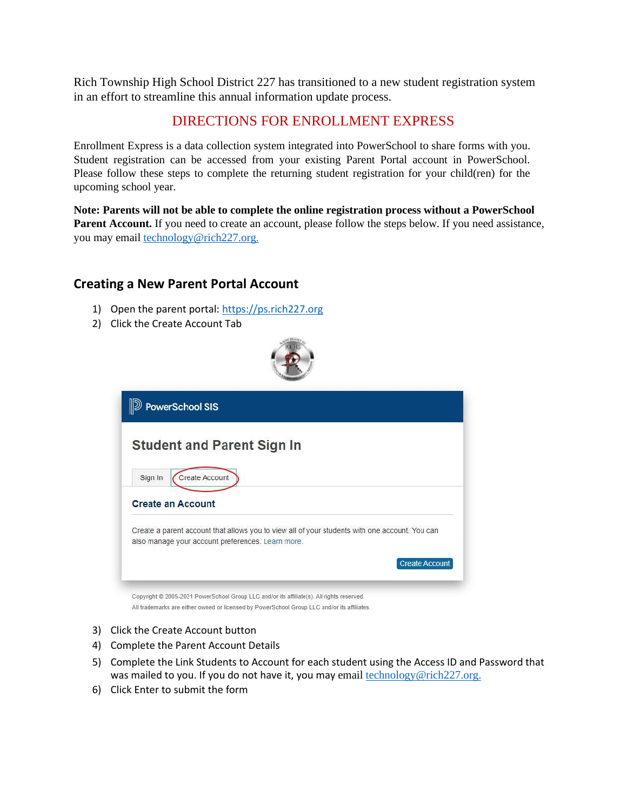Rich Township High School District 227 has transitioned to a new student registration system in an effort to streamline this annual information update process.

## DIRECTIONS FOR ENROLLMENT EXPRESS

Enrollment Express is a data collection system integrated into PowerSchool to share forms with you. Student registration can be accessed from your existing Parent Portal account in PowerSchool. Please follow these steps to complete the returning student registration for your child(ren) for the upcoming school year.

**Note: Parents will not be able to complete the online registration process without a PowerSchool Parent Account.** If you need to create an account, please follow the steps below. If you need assistance, you may email [technology@rich227.org.](mailto:technology@rich227.org.)

## **Creating a New Parent Portal Account**

- 1) Open the parent portal: [https://ps.rich227.org](https://ps.rich227.org/)
- 2) Click the Create Account Tab



- 3) Click the Create Account button
- 4) Complete the Parent Account Details
- 5) Complete the Link Students to Account for each student using the Access ID and Password that was mailed to you. If you do not have it, you may email  $technology@rich227.org.$ </u>
- 6) Click Enter to submit the form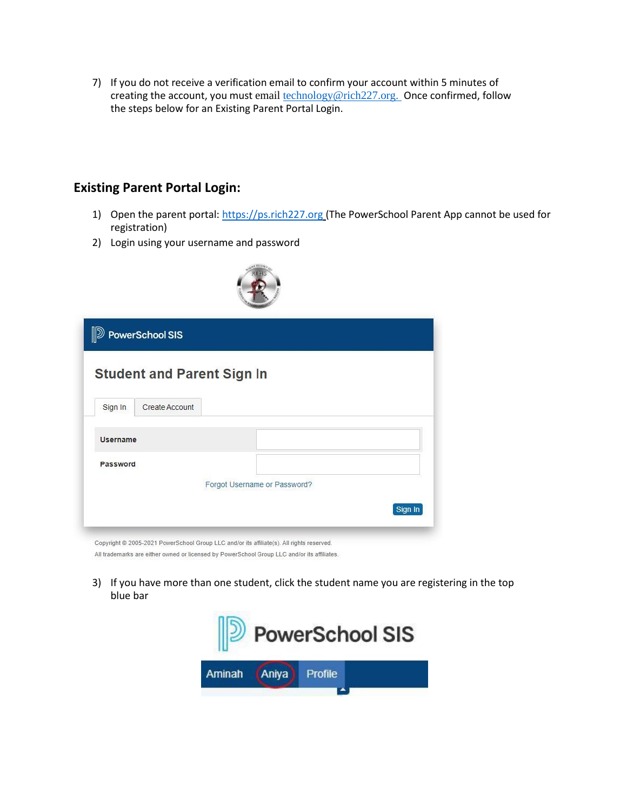7) If you do not receive a verification email to confirm your account within 5 minutes of creating the account, you must email **technology@rich227.org.** Once confirmed, follow the steps below for an Existing Parent Portal Login.

## **Existing Parent Portal Login:**

- 1) Open the parent portal: [https://ps.rich227.org](https://ps.rich227.org/) (The PowerSchool Parent App cannot be used for registration)
- 2) Login using your username and password

| <b>D</b> PowerSchool SIS<br><b>Student and Parent Sign In</b> |  |                              |  |  |         |
|---------------------------------------------------------------|--|------------------------------|--|--|---------|
|                                                               |  |                              |  |  |         |
| <b>Username</b>                                               |  |                              |  |  |         |
| Password                                                      |  |                              |  |  |         |
|                                                               |  | Forgot Username or Password? |  |  |         |
|                                                               |  |                              |  |  | Sign In |

3) If you have more than one student, click the student name you are registering in the top blue bar

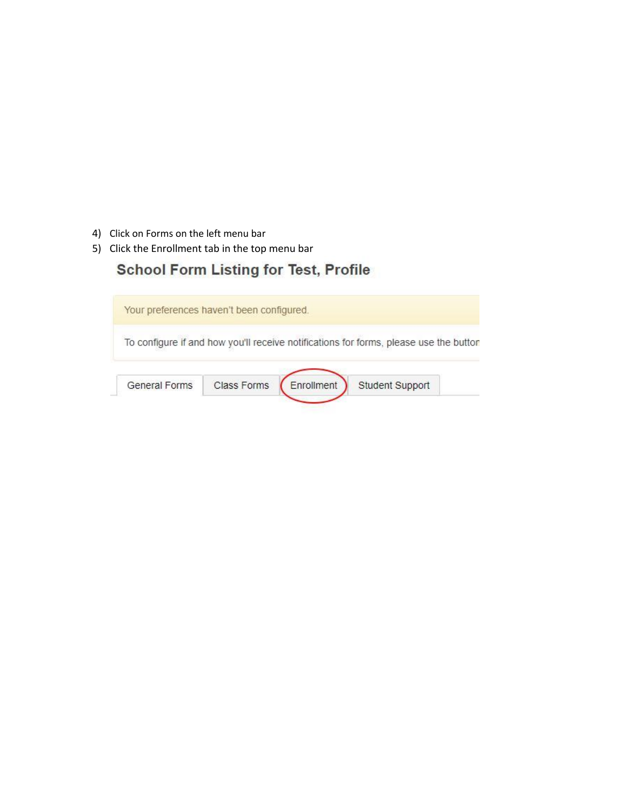- 4) Click on Forms on the left menu bar
- 5) Click the Enrollment tab in the top menu bar

## **School Form Listing for Test, Profile**